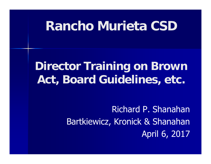## **Rancho Murieta CSD**

## **Director Training on Brown Act, Board Guidelines, etc.**

Richard P. ShanahanBartkiewicz, Kronick & Shanahan April 6, 2017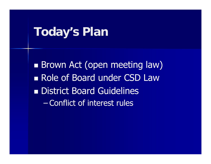#### **Today's Plan**

**Brown Act (open meeting law) Role of Board under CSD Law District Board Guidelines**  $\mathcal{L}_{\mathcal{A}}$ Conflict of interest rules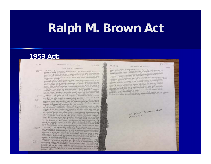#### **Ralph M. Brown Act**

Ch. Heel

#### **1953 Act:**

#### arrow.

#### STATUTES OF CALIFORNIA CHAPTER S. METTIMES

#### 14.76, 20.64

#### JOSE RIGGINARI BEIGALOG

#### ingly notice must be defivered personally or by must at least 24 burst Column before the time of used account of  $\pi$

 $1955$ 

 $=111$ 

Fourth before the time of active edges<br>really or by much at least  $24$  The nodes aball specify the<br> time and specify the specified in the notice and the hashing as specified in the<br>specifical specifical specifies in the t

and the biasiness in be transacted. No other hearses<br>with meeting milerary in factor and the condition of the hypidelity hody,<br>fields a finite biasine of the local mass shall be emission of the prevent the beyond<br>true hod ands a public hearing. The legislative healy also say exclude These a points tenaring. The legislative heaty also perfect the<br>distribution of a waiters any act of the contract of a state of a<br>strong the construction any ac all other witness in the matter being<br>investigated by the leg investigated by the hogislative body.

assigned by the hypidative hady.<br>
ACOS The previous of this shapter shall apply to the contract hypidative hady of every local agency not<br>eiting previous at any other state law. Beting precisions of any other state law.

priginal boom art  $z_i$ 

**Locatedal**ler 54950. In enacting this chapter, the Legislature finds and 54050. In emissing this chapter, the Legislature finds and declures that the public cosmic<br>according learch is declured to the public space of the other public agencies in this State exist to aid in the conditional<br>that t conducted spenly.

The people of this Sinte do not yield their accretionty to the agencies which serve them. The people, in delegating authority, the unit criter age and give their public. The people, in delegating authority, the not give their public nearests the right to decode what is good for them to know. The people to know and what is not good for them to retain control over the instruments they have created.<br>54951. As used in this chapter, "beal agency" success a

county, eity, eity and county, form, wheel district, namelyd corporation, district, political solutions, or any board, one

minion or agency thereof, or other local public agency.<br>54952. As used in this chapter, "buishalive bely" again  $75484449$ 

the governing board, commission, direction or body of a heal ugency, or zero board or commission thereof 54953. All meetings of the legislative body of a local agency shall be open and public, and all persons shall be permitted to attend any meeting of the legislative body of a boat agency.

except as otherwise provided in this chapter.<br>54954. The legislative bady of a local agency shall provide. by ordinance, resolution, by-laws, or by schatever other rale is required for the conduct of business by that holy, the time for holding regular meetings. Unless otherwise previded for in the act under which the beal agency was formed, meetings of the legislative body need not be held within the boundaries of the territory over which the local agency exercises jurisdiction. If at any time any regular meeting falls on a holiday, such regular meeting shall be held on the next business day. If, by reason of fire, flood, earthquake or other emergency, it shall be unsafe to next in the place designated, the meetings may be held for the duration of the coergency at such place as is designated by the presiding officer of the legislative holy. 54955. The legislative body of a local agency may adjourn

**Michiga** 

Finer of

any regular or adjustmed meeting to a time and place specified In the order of adjournment. When so adjourned, the adjourned meeting is a regular meeting for all purposes. When an enter of adjournment of a regular or adjourned meeting fails in this ad postmessive of the adjourned meeting is to be held, it shall the held at the hour specified by ardinance, resolution, by laws, or be held at the bour specified by for regular meetings,

whatever other rule is required to receive the any time by the<br>presiding officer of the legislative basis of a local agency, of by<br>presiding officer of the legislative basis five basis by delivering presiding officer of the registative legislative body, by delivering a majority of the members of the potter to each member of the personally or by and to each local newspaper of general sires. fegislative lesty and to each team requesting sotice in writing

**Parrillon**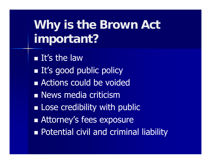## **Why is the Brown Act important?**

**It's the law It's good public policy Actions could be voided News media criticism Example 1 Lose credibility with public Attorney's fees exposure n** Potential civil and criminal liability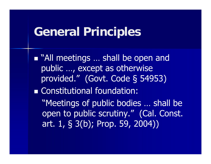#### **General Principles**

■ "All meetings ... shall be open and public …, except as otherwise provided." (Govt. Code § 54953) Constitutional foundation: "Meetings of public bodies … shall be open to public scrutiny." (Cal. Const. art. 1, § 3(b); Prop. 59, 2004))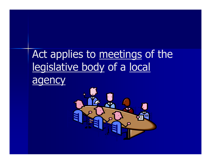## Act applies to meetings of the legislative body of a local agency

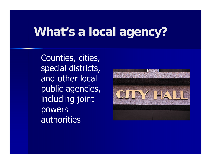## **What's a local agency?**

Counties, cities, special districts, and other local public agencies, including joint powers authorities

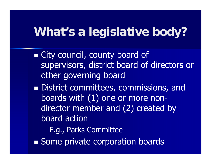## **What's a legislative body?**

**Example 2 City county board of** supervisors, district board of directors or other governing board

**District committees, commissions, and** boards with (1) one or more nondirector member and (2) created by board action

 $\mathcal{L}_{\mathcal{A}}$ E.g., Parks Committee

**Some private corporation boards**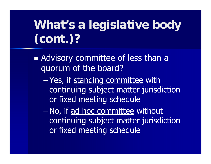## **What's a legislative body (cont.)?**

**Advisory committee of less than a** quorum of the board?

 $\mathcal{L}_{\mathcal{A}}$ Yes, if <u>standing committee</u> with continuing subject matter jurisdiction or fixed meeting schedule

 $\mathcal{L}_{\mathcal{A}}$ No, if ad hoc committee without continuing subject matter jurisdiction or fixed meeting schedule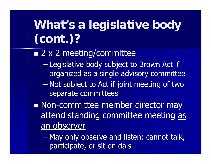# **What's a legislative body (cont.)?**

■ 2 x 2 meeting/committee

- $\mathcal{L}_{\mathcal{A}}$  Legislative body subject to Brown Act if organized as a single advisory committee
- $\mathcal{L}_{\mathcal{A}}$  Not subject to Act if joint meeting of two separate committees

**Non-committee member director may** attend standing committee meeting as an observer

 $\mathcal{L}_{\mathcal{A}}$  May only observe and listen; cannot talk, participate, or sit on dais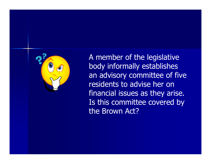

A member of the legislative body informally establishes an advisory committee of five residents to advise her on financial issues as they arise. Is this committee covered by the Brown Act?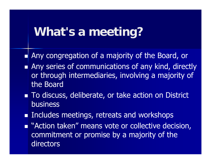### **What's a meeting?**

- Any congregation of a majority of the Board, or
- **Any series of communications of any kind, directly** or through intermediaries, involving a majority of the Board
- To discuss, deliberate, or take action on District **business**
- **Includes meetings, retreats and workshops**
- **Number 12 Action taken" means vote or collective decision,** commitment or promise by a majority of the directors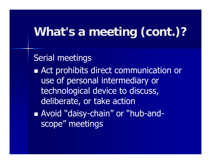## **What's a meeting (cont.)?**

Serial meetings **Act prohibits direct communication or** use of personal intermediary or technological device to discuss, deliberate, or take action Avoid "daisy-chain" or "hub-andscope" meetings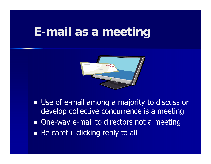#### **E-mail as a meeting**



**Use of e-mail among a majority to discuss or** develop collective concurrence is a meeting **n** One-way e-mail to directors not a meeting **Be careful clicking reply to all**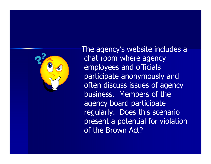

The agency's website includes a chat room where agency employees and officials participate anonymously and often discuss issues of agency business. Members of the agency board participate regularly. Does this scenario present a potential for violation of the Brown Act?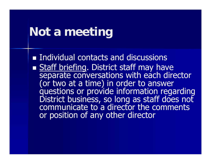#### **Not a meeting**

**Individual contacts and discussions** 

■ Staff briefing. District staff may have<br>separate conversations with each director<br>(or two at a time) in order to answer<br>questions or provide information regarding<br>District business, so long as staff does not<br>communicate or position of any other director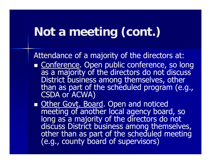## **Not a meeting (cont.)**

Attendance of a majority of the directors at:

- Conference. Open public conference, so long as a majority of the directors do not discuss<br>District business among themselves, other<br>than as part of the scheduled program (e.g.,<br>CSDA or ACWA)
- Other Govt. Board. Open and noticed meeting of another local agency board, so<br>long as a majority of the directors do not<br>discuss District business among themselves,<br>other than as part of the scheduled meeting<br>(e.g., county board of supervisors)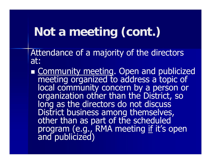## **Not a meeting (cont.)**

Attendance of a majority of the directors at:

Community meeting. Open and publicized meeting organized to address a topic of<br>local community concern by a person or<br>organization other than the District, so long as the directors do not discuss<br>District business among themselves,<br>other than as part of the scheduled<br>program (e.g., RMA meeting <u>if</u> it's open<br>and publicized)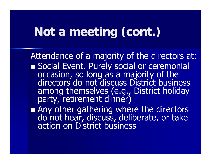## **Not a meeting (cont.)**

Attendance of a majority of the directors at: Social Event. Purely social or ceremonial occasion, so long as a majority of the<br>directors do not discuss District business among themselves (e.g., District holiday party, retirement dinner)

Any other gathering where the directors do not hear, discuss, deliberate, or take action on District business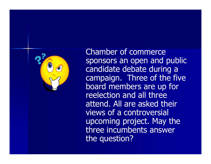

Chamber of commerce sponsors an open and public candidate debate during a campaign. Three of the five board members are up for reelection and all three attend. All are asked their views of a controversial upcoming project. May the three incumbents answer the question?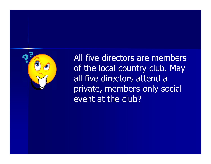

All five directors are members of the local country club. May all five directors attend a private, members-only social event at the club?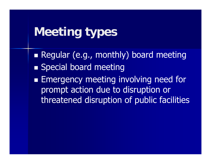## **Meeting types**

 Regular (e.g., monthly) board meeting **Special board meeting Emergency meeting involving need for** prompt action due to disruption or threatened disruption of public facilities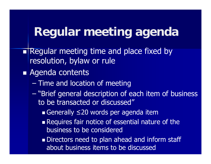#### **Regular meeting agenda**

- Regular meeting time and place fixed by resolution, bylaw or rule
- **Agenda contents** 
	- Time and location of meeting
	- "Brief general description of each item of business to be transacted or discussed"
		- Generally ≤20 words per agenda item
		- **Requires fair notice of essential nature of the** business to be considered
		- **Directors need to plan ahead and inform staff** about business items to be discussed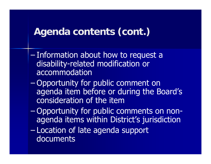#### **Agenda contents (cont.)**

- – Information about how to request a disability-related modification or accommodation
- $\mathcal{L}_{\mathcal{A}}$  Opportunity for public comment on agenda item before or during the Board's consideration of the item
- $\mathcal{L}_{\mathcal{A}}$  Opportunity for public comments on nonagenda items within District's jurisdiction
- $\mathcal{L}_{\mathcal{A}}$  Location of late agenda support documents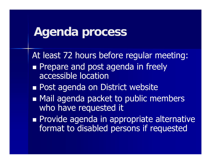#### **Agenda process**

At least 72 hours before regular meeting:

- **Prepare and post agenda in freely** accessible location
- **Post agenda on District website**
- **• Mail agenda packet to public members** who have requested it
- **Provide agenda in appropriate alternative** format to disabled persons if requested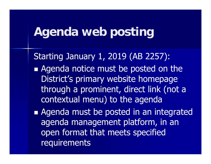## **Agenda web posting**

Starting January 1, 2019 (AB 2257): **Agenda notice must be posted on the** District's primary website homepage through a prominent, direct link (not a contextual menu) to the agenda

**Agenda must be posted in an integrated** agenda management platform, in an open format that meets specified requirements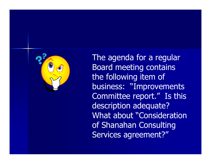

The agenda for a regular Board meeting contains the following item of business: "Improvements Committee report." Is this description adequate? What about "Consideration of Shanahan Consulting Services agreement?"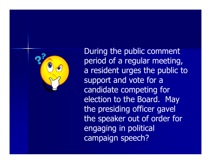

During the public comment period of a regular meeting, a resident urges the public to support and vote for a candidate competing for election to the Board. May the presiding officer gavel the speaker out of order for engaging in political campaign speech?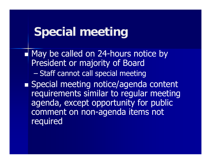## **Special meeting**

Ξ May be called on 24-hours notice by President or majority of Board  $\mathcal{L}_{\mathcal{A}}$  Staff cannot call special meeting **Special meeting notice/agenda content** requirements similar to regular meeting agenda, except opportunity for public comment on non-agenda items not **required**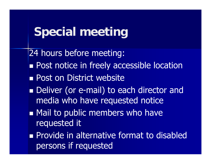## **Special meeting**

24 hours before meeting: **Post notice in freely accessible location Post on District website** ■ Deliver (or e-mail) to each director and media who have requested notice **• Mail to public members who have** requested it **Provide in alternative format to disabled** persons if requested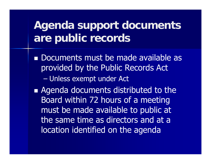### **Agenda support documents are public records**

**Documents must be made available as Legisland** provided by the Public Records Act Unless exempt under Act

**Agenda documents distributed to the** Board within 72 hours of a meeting must be made available to public at the same time as directors and at a location identified on the agenda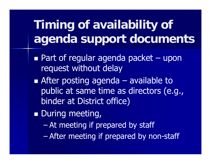## **Timing of availability of agenda support documents**

- ■ Part of regular agenda packet – upon request without delay
- **After posting agenda – available to** public at same time as directors (e.g., binder at District office)
- **During meeting,** 
	- $\mathcal{L}_{\mathcal{A}}$ At meeting if prepared by staff
	- $\mathcal{L}_{\mathcal{A}}$ After meeting if prepared by non-staff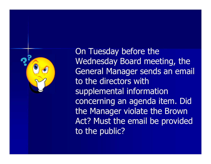

On Tuesday before the Wednesday Board meeting, the General Manager sends an email to the directors with supplemental information concerning an agenda item. Did the Manager violate the Brown Act? Must the email be provided to the public?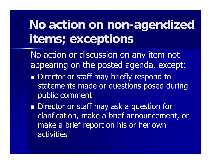## **No action on non-agendized items; exceptions**

No action or discussion on any item not appearing on the posted agenda, except:

- **Director or staff may briefly respond to** statements made or questions posed during public comment
- **Director or staff may ask a question for** clarification, make a brief announcement, or make a brief report on his or her own activities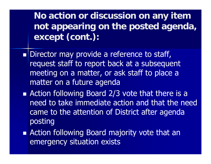**No action or discussion on any item not appearing on the posted agenda, except (cont.):**

- **Director may provide a reference to staff,** request staff to report back at a subsequent meeting on a matter, or ask staff to place a matter on a future agenda
- **Action following Board 2/3 vote that there is a** need to take immediate action and that the need came to the attention of District after agenda posting
- **Action following Board majority vote that an** emergency situation exists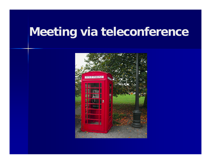## **Meeting via teleconference**

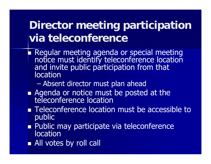#### **Director meeting participation via teleconference**

- Regular meeting agenda or special meeting notice must identify teleconference location and invite public participation from that location
	- Absent director must plan ahead
- **Agenda or notice must be posted at the<br>teleconference location**
- **Teleconference location must be accessible to** public
- **Public may participate via teleconference** location
- **All votes by roll call**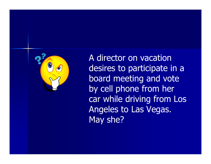

A director on vacation desires to participate in a board meeting and vote by cell phone from her car while driving from Los Angeles to Las Vegas. May she?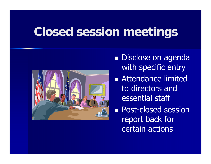## **Closed session meetings**



- **Disclose on agenda** with specific entry
- **Attendance limited** to directors and essential staff
- **Post-closed session** report back for certain actions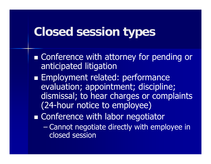## **Closed session types**

**Example Tence with attorney for pending or all conference with attorney for pending or** anticipated litigation **Employment related: performance** evaluation; appointment; discipline; dismissal; to hear charges or complaints (24-hour notice to employee) **Example 12 Conference with labor negotiator**  $\mathcal{L}_{\mathcal{A}}$  Cannot negotiate directly with employee in closed session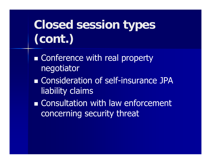# **Closed session types (cont.)**

- **Example Conference with real property** negotiator
- **Example Consideration of self-insurance JPA** liability claims
- **Example 20 Inches** Consultation with law enforcement concerning security threat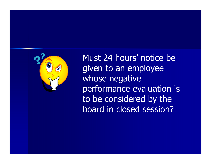

Must 24 hours' notice be given to an employee whose negative performance evaluation is to be considered by the board in closed session?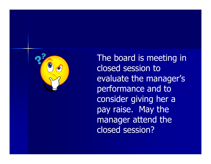

The board is meeting in closed session to evaluate the manager's performance and to consider giving her a pay raise. May the manager attend the closed session?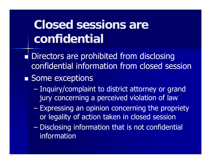## **Closed sessions are confidential**

- Ξ Directors are prohibited from disclosing confidential information from closed session
- Some exceptions
	- Inquiry/complaint to district attorney or grand jury concerning a perceived violation of law
	- Expressing an opinion concerning the propriety or legality of action taken in closed session
	- Disclosing information that is not confidential information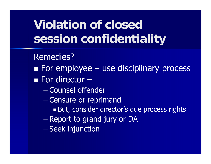## **Violation of closed session confidentiality**

Remedies?

**Examployee – use disciplinary process** ■ For director –

- $\mathcal{L}_{\mathcal{A}}$ Counsel offender
- $\mathcal{L}_{\mathcal{A}}$  , where  $\mathcal{L}_{\mathcal{A}}$  is the set of the set of the set of the set of the set of the set of the set of the set of the set of the set of the set of the set of the set of the set of the set of the set of the Censure or reprimand
	- But, consider director's due process rights
- $\mathcal{L}_{\mathcal{A}}$ Report to grand jury or DA
- –Seek injunction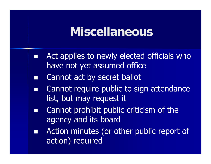#### **Miscellaneous**

- $\Box$ Act applies to newly elected officials who have not yet assumed office
- $\Box$ Cannot act by secret ballot
- $\Box$  Cannot require public to sign attendance list, but may request it
- $\Box$  Cannot prohibit public criticism of the agency and its board
- $\Box$  Action minutes (or other public report of action) required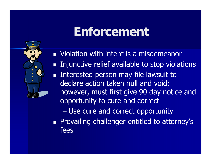## **Enforcement**



**Nolation with intent is a misdemeanor**  Injunctive relief available to stop violations **Interested person may file lawsuit to Interested person may file lawsuit to** declare action taken null and void; however, must first give 90 day notice and opportunity to cure and correct

Use cure and correct opportunity

**Prevailing challenger entitled to attorney's** fees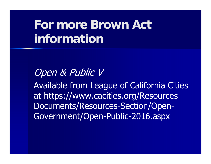## **For more Brown Act information**

Open & Public V

Available from League of California Cities at https://www.cacities.org/Resources-Documents/Resources-Section/Open-Government/Open-Public-2016.aspx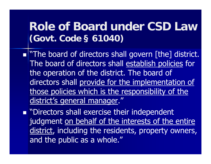#### **Role of Board under CSD Law (Govt. Code § 61040)**

- **...** The board of directors shall govern [the] district. The board of directors shall establish policies for the operation of the district. The board of directors shall provide for the implementation of those policies which is the responsibility of the district's general manager."
- **Directors shall exercise their independent** judgment on behalf of the interests of the entire district, including the residents, property owners, and the public as a whole."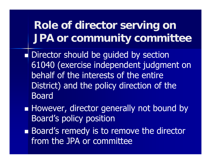#### **Role of director serving on JPA or community committee**

- Director should be guided by section 61040 (exercise independent judgment on behalf of the interests of the entire District) and the policy direction of the Board
- **However, director generally not bound by** Board's policy position
- **Board's remedy is to remove the director** from the JPA or committee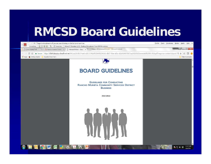### **RMCSD Board Guidelines**

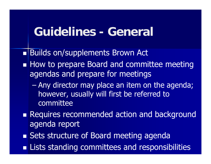#### **Guidelines - General**

Builds on/supplements Brown Act

- **How to prepare Board and committee meeting** agendas and prepare for meetings
	- $\mathcal{L}_{\mathcal{A}}$  Any director may place an item on the agenda; however, usually will first be referred to committee
- **Requires recommended action and background** agenda report
- **Sets structure of Board meeting agenda**
- **Example 2 Incient** Eists standing committees and responsibilities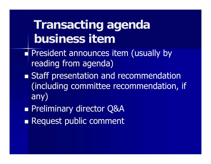## **Transacting agenda business item**

- **President announces item (usually by** reading from agenda)
- **Staff presentation and recommendation** (including committee recommendation, if any)
- **Preliminary director Q&A**
- **Request public comment**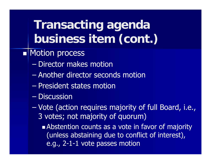## **Transacting agenda business item (cont.)**

- **Notion process** 
	- $\mathcal{L}_{\mathcal{A}}$ Director makes motion
	- –Another director seconds motion
	- $\mathcal{L}_{\mathcal{A}}$ President states motion
	- –**Discussion**
	- $\mathcal{L}_{\mathcal{A}}$  Vote (action requires majority of full Board, i.e., 3 votes; not majority of quorum)
		- **Abstention counts as a vote in favor of majority** (unless abstaining due to conflict of interest), e.g., 2-1-1 vote passes motion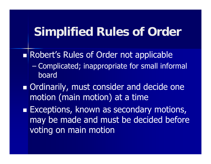#### **Simplified Rules of Order**

- Robert's Rules of Order not applicable
	- $\mathcal{L}_{\mathcal{A}}$  Complicated; inappropriate for small informal board
- **Drationarily, must consider and decide one** motion (main motion) at a time
- **Exceptions, known as secondary motions,** may be made and must be decided before voting on main motion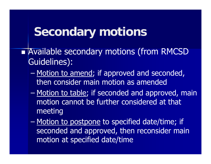#### **Secondary motions**

- **Available secondary motions (from RMCSD** Guidelines):
	- –Motion to amend; if approved and seconded, then consider main motion as amended
	- Motion to table; if seconded and approved, main motion cannot be further considered at that meeting
	- –Motion to postpone to specified date/time; if seconded and approved, then reconsider main motion at specified date/time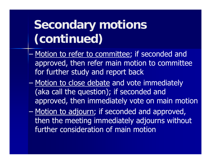## **Secondary motions (continued)**

- Motion to refer to committee; if seconded and approved, then refer main motion to committee for further study and report back
- –Motion to close debate and vote immediately (aka call the question); if seconded and approved, then immediately vote on main motion
- $\mathcal{L}_{\mathcal{A}}$ Motion to adjourn; if seconded and approved, then the meeting immediately adjourns without further consideration of main motion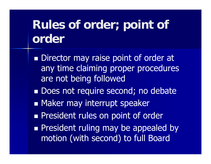## **Rules of order; point of order**

**Director may raise point of order at** any time claiming proper procedures are not being followed

- **Does not require second; no debate**
- **Naker may interrupt speaker**
- **President rules on point of order**
- **President ruling may be appealed by a** motion (with second) to full Board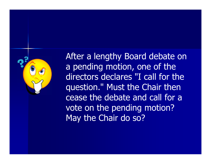

After a lengthy Board debate on a pending motion, one of the directors declares "I call for the question." Must the Chair then cease the debate and call for a vote on the pending motion? May the Chair do so?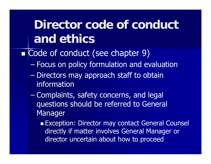## **Director code of conduct and ethics**

- Code of conduct (see chapter 9)
	- $\mathcal{L}_{\mathcal{A}}$ Focus on policy formulation and evaluation
	- Directors may approach staff to obtain information
	- $\mathcal{L}_{\mathcal{A}}$  , where  $\mathcal{L}_{\mathcal{A}}$  is the set of the set of the set of the set of the set of the set of the set of the set of the set of the set of the set of the set of the set of the set of the set of the set of the Complaints, safety concerns, and legal questions should be referred to General Manager
		- **Exception: Director may contact General Counsel** directly if matter involves General Manager or director uncertain about how to proceed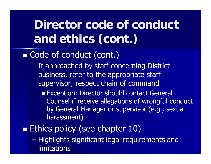#### **Director code of conduct and ethics (cont.)**  $\blacksquare$  **Code of conduct (cont.)**  If approached by staff concerning District business, refer to the appropriate staff supervisor; respect chain of command **Exception: Director should contact General** Counsel if receive allegations of wrongful conduct by General Manager or supervisor (e.g., sexual harassment) **Ethics policy (see chapter 10)**  Highlights significant legal requirements and **limitations**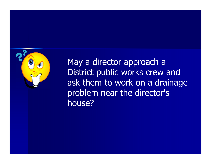

May a director approach a District public works crew and ask them to work on a drainage problem near the director's house?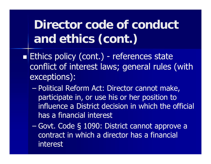## **Director code of conduct and ethics (cont.)**

- **Ethics policy (cont.) - references state** conflict of interest laws; general rules (with exceptions):
	- $\mathcal{L}_{\mathcal{A}}$  Political Reform Act: Director cannot make, participate in, or use his or her position to influence a District decision in which the official has a financial interest
	- $\mathcal{L}_{\mathcal{A}}$  Govt. Code § 1090: District cannot approve a contract in which a director has a financial interest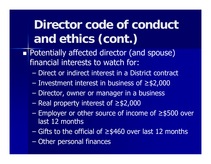## **Director code of conduct and ethics (cont.)**

- **Potentially affected director (and spouse)** financial interests to watch for:
	- Direct or indirect interest in a District contract
	- Investment interest in business of ≥\$2,000
	- $\mathcal{L}_{\mathcal{A}}$ Director, owner or manager in a business
	- –Real property interest of ≥\$2,000
	- – Employer or other source of income of ≥\$500 over last 12 months
	- Gifts to the official of ≥\$460 over last 12 months
	- $\mathcal{L}_{\mathcal{A}}$ Other personal finances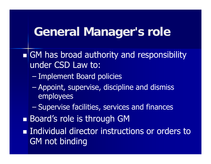### **General Manager's role**

**Sampson Beat Authority and responsibility** under CSD Law to:

- –Implement Board policies
- $\mathcal{L}_{\mathcal{A}}$  Appoint, supervise, discipline and dismiss employees
- $\mathcal{L}_{\mathcal{A}}$ Supervise facilities, services and finances
- **Board's role is through GM**
- **Individual director instructions or orders to** GM not binding